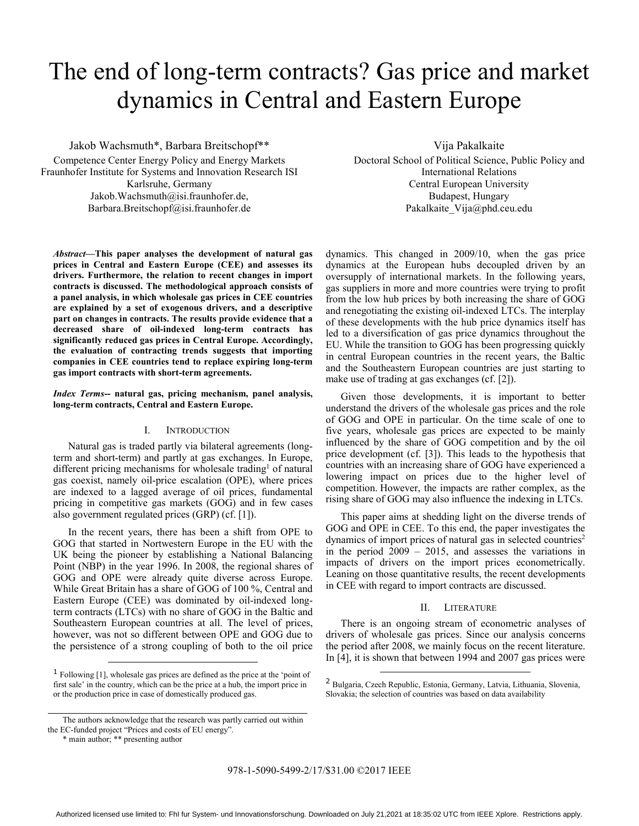# The end of long-term contracts? Gas price and market dynamics in Central and Eastern Europe

Jakob Wachsmuth\*, Barbara Breitschopf\*\*

Competence Center Energy Policy and Energy Markets Fraunhofer Institute for Systems and Innovation Research ISI Karlsruhe, Germany Jakob.Wachsmuth@isi.fraunhofer.de, Barbara.Breitschopf@isi.fraunhofer.de

*Abstract***—This paper analyses the development of natural gas prices in Central and Eastern Europe (CEE) and assesses its drivers. Furthermore, the relation to recent changes in import contracts is discussed. The methodological approach consists of a panel analysis, in which wholesale gas prices in CEE countries are explained by a set of exogenous drivers, and a descriptive part on changes in contracts. The results provide evidence that a decreased share of oil-indexed long-term contracts has significantly reduced gas prices in Central Europe. Accordingly, the evaluation of contracting trends suggests that importing companies in CEE countries tend to replace expiring long-term gas import contracts with short-term agreements.** 

*Index Terms***-- natural gas, pricing mechanism, panel analysis, long-term contracts, Central and Eastern Europe.** 

# I. INTRODUCTION

Natural gas is traded partly via bilateral agreements (longterm and short-term) and partly at gas exchanges. In Europe, different pricing mechanisms for wholesale trading<sup>1</sup> of natural gas coexist, namely oil-price escalation (OPE), where prices are indexed to a lagged average of oil prices, fundamental pricing in competitive gas markets (GOG) and in few cases also government regulated prices (GRP) (cf. [1]).

In the recent years, there has been a shift from OPE to GOG that started in Nortwestern Europe in the EU with the UK being the pioneer by establishing a National Balancing Point (NBP) in the year 1996. In 2008, the regional shares of GOG and OPE were already quite diverse across Europe. While Great Britain has a share of GOG of 100 %, Central and Eastern Europe (CEE) was dominated by oil-indexed longterm contracts (LTCs) with no share of GOG in the Baltic and Southeastern European countries at all. The level of prices, however, was not so different between OPE and GOG due to the persistence of a strong coupling of both to the oil price

Vija Pakalkaite

Doctoral School of Political Science, Public Policy and International Relations Central European University Budapest, Hungary Pakalkaite\_Vija@phd.ceu.edu

dynamics. This changed in 2009/10, when the gas price dynamics at the European hubs decoupled driven by an oversupply of international markets. In the following years, gas suppliers in more and more countries were trying to profit from the low hub prices by both increasing the share of GOG and renegotiating the existing oil-indexed LTCs. The interplay of these developments with the hub price dynamics itself has led to a diversification of gas price dynamics throughout the EU. While the transition to GOG has been progressing quickly in central European countries in the recent years, the Baltic and the Southeastern European countries are just starting to make use of trading at gas exchanges (cf. [2]).

Given those developments, it is important to better understand the drivers of the wholesale gas prices and the role of GOG and OPE in particular. On the time scale of one to five years, wholesale gas prices are expected to be mainly influenced by the share of GOG competition and by the oil price development (cf. [3]). This leads to the hypothesis that countries with an increasing share of GOG have experienced a lowering impact on prices due to the higher level of competition. However, the impacts are rather complex, as the rising share of GOG may also influence the indexing in LTCs.

This paper aims at shedding light on the diverse trends of GOG and OPE in CEE. To this end, the paper investigates the dynamics of import prices of natural gas in selected countries<sup>2</sup> in the period 2009 – 2015, and assesses the variations in impacts of drivers on the import prices econometrically. Leaning on those quantitative results, the recent developments in CEE with regard to import contracts are discussed.

#### II. LITERATURE

There is an ongoing stream of econometric analyses of drivers of wholesale gas prices. Since our analysis concerns the period after 2008, we mainly focus on the recent literature. In [4], it is shown that between 1994 and 2007 gas prices were

l

-

978-1-5090-5499-2/17/\$31.00 ©2017 IEEE

<sup>1</sup>Following [1], wholesale gas prices are defined as the price at the 'point of first sale' in the country, which can be the price at a hub, the import price in or the production price in case of domestically produced gas.

<sup>2</sup> Bulgaria, Czech Republic, Estonia, Germany, Latvia, Lithuania, Slovenia, Slovakia; the selection of countries was based on data availability

The authors acknowledge that the research was partly carried out within the EC-funded project "Prices and costs of EU energy".

<sup>\*</sup> main author; \*\* presenting author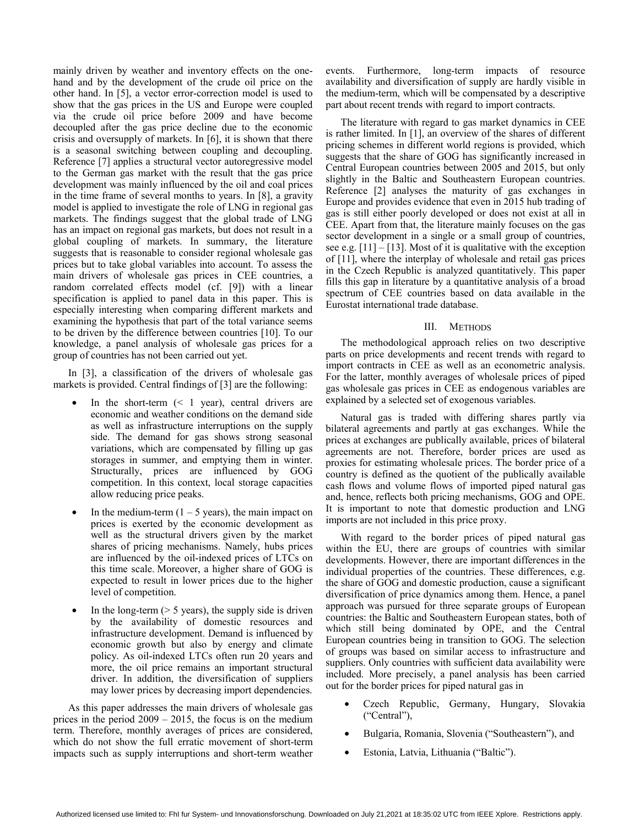mainly driven by weather and inventory effects on the onehand and by the development of the crude oil price on the other hand. In [5], a vector error-correction model is used to show that the gas prices in the US and Europe were coupled via the crude oil price before 2009 and have become decoupled after the gas price decline due to the economic crisis and oversupply of markets. In [6], it is shown that there is a seasonal switching between coupling and decoupling. Reference [7] applies a structural vector autoregressive model to the German gas market with the result that the gas price development was mainly influenced by the oil and coal prices in the time frame of several months to years. In [8], a gravity model is applied to investigate the role of LNG in regional gas markets. The findings suggest that the global trade of LNG has an impact on regional gas markets, but does not result in a global coupling of markets. In summary, the literature suggests that is reasonable to consider regional wholesale gas prices but to take global variables into account. To assess the main drivers of wholesale gas prices in CEE countries, a random correlated effects model (cf. [9]) with a linear specification is applied to panel data in this paper. This is especially interesting when comparing different markets and examining the hypothesis that part of the total variance seems to be driven by the difference between countries [10]. To our knowledge, a panel analysis of wholesale gas prices for a group of countries has not been carried out yet.

In [3], a classification of the drivers of wholesale gas markets is provided. Central findings of [3] are the following:

- In the short-term  $( $1$  year), central drivers are$ economic and weather conditions on the demand side as well as infrastructure interruptions on the supply side. The demand for gas shows strong seasonal variations, which are compensated by filling up gas storages in summer, and emptying them in winter. Structurally, prices are influenced by GOG competition. In this context, local storage capacities allow reducing price peaks.
- In the medium-term  $(1 5$  years), the main impact on prices is exerted by the economic development as well as the structural drivers given by the market shares of pricing mechanisms. Namely, hubs prices are influenced by the oil-indexed prices of LTCs on this time scale. Moreover, a higher share of GOG is expected to result in lower prices due to the higher level of competition.
- In the long-term ( $> 5$  years), the supply side is driven by the availability of domestic resources and infrastructure development. Demand is influenced by economic growth but also by energy and climate policy. As oil-indexed LTCs often run 20 years and more, the oil price remains an important structural driver. In addition, the diversification of suppliers may lower prices by decreasing import dependencies.

As this paper addresses the main drivers of wholesale gas prices in the period 2009 – 2015, the focus is on the medium term. Therefore, monthly averages of prices are considered, which do not show the full erratic movement of short-term impacts such as supply interruptions and short-term weather

events. Furthermore, long-term impacts of resource availability and diversification of supply are hardly visible in the medium-term, which will be compensated by a descriptive part about recent trends with regard to import contracts.

The literature with regard to gas market dynamics in CEE is rather limited. In [1], an overview of the shares of different pricing schemes in different world regions is provided, which suggests that the share of GOG has significantly increased in Central European countries between 2005 and 2015, but only slightly in the Baltic and Southeastern European countries. Reference [2] analyses the maturity of gas exchanges in Europe and provides evidence that even in 2015 hub trading of gas is still either poorly developed or does not exist at all in CEE. Apart from that, the literature mainly focuses on the gas sector development in a single or a small group of countries, see e.g.  $[11] - [13]$ . Most of it is qualitative with the exception of [11], where the interplay of wholesale and retail gas prices in the Czech Republic is analyzed quantitatively. This paper fills this gap in literature by a quantitative analysis of a broad spectrum of CEE countries based on data available in the Eurostat international trade database.

## III. METHODS

The methodological approach relies on two descriptive parts on price developments and recent trends with regard to import contracts in CEE as well as an econometric analysis. For the latter, monthly averages of wholesale prices of piped gas wholesale gas prices in CEE as endogenous variables are explained by a selected set of exogenous variables.

Natural gas is traded with differing shares partly via bilateral agreements and partly at gas exchanges. While the prices at exchanges are publically available, prices of bilateral agreements are not. Therefore, border prices are used as proxies for estimating wholesale prices. The border price of a country is defined as the quotient of the publically available cash flows and volume flows of imported piped natural gas and, hence, reflects both pricing mechanisms, GOG and OPE. It is important to note that domestic production and LNG imports are not included in this price proxy.

With regard to the border prices of piped natural gas within the EU, there are groups of countries with similar developments. However, there are important differences in the individual properties of the countries. These differences, e.g. the share of GOG and domestic production, cause a significant diversification of price dynamics among them. Hence, a panel approach was pursued for three separate groups of European countries: the Baltic and Southeastern European states, both of which still being dominated by OPE, and the Central European countries being in transition to GOG. The selection of groups was based on similar access to infrastructure and suppliers. Only countries with sufficient data availability were included. More precisely, a panel analysis has been carried out for the border prices for piped natural gas in

- Czech Republic, Germany, Hungary, Slovakia ("Central"),
- Bulgaria, Romania, Slovenia ("Southeastern"), and
- Estonia, Latvia, Lithuania ("Baltic").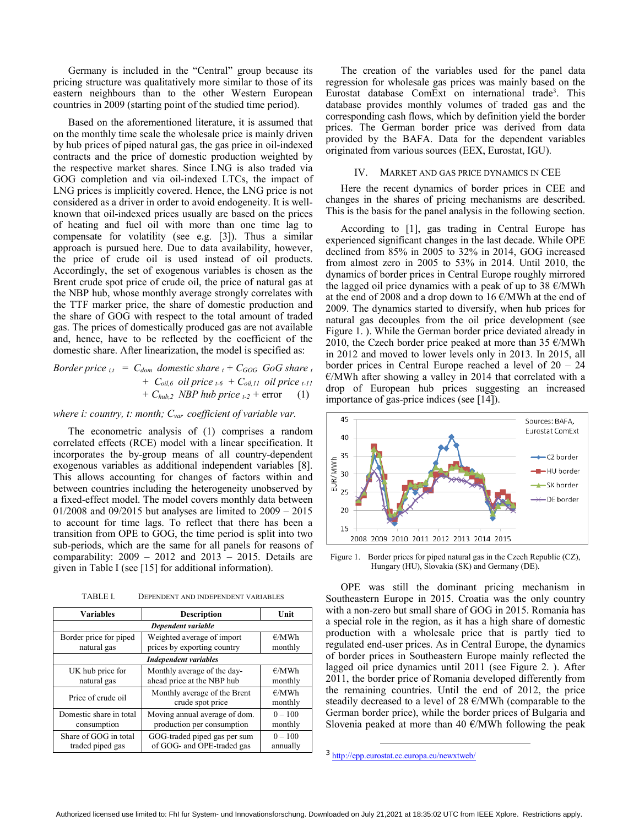Germany is included in the "Central" group because its pricing structure was qualitatively more similar to those of its eastern neighbours than to the other Western European countries in 2009 (starting point of the studied time period).

Based on the aforementioned literature, it is assumed that on the monthly time scale the wholesale price is mainly driven by hub prices of piped natural gas, the gas price in oil-indexed contracts and the price of domestic production weighted by the respective market shares. Since LNG is also traded via GOG completion and via oil-indexed LTCs, the impact of LNG prices is implicitly covered. Hence, the LNG price is not considered as a driver in order to avoid endogeneity. It is wellknown that oil-indexed prices usually are based on the prices of heating and fuel oil with more than one time lag to compensate for volatility (see e.g. [3]). Thus a similar approach is pursued here. Due to data availability, however, the price of crude oil is used instead of oil products. Accordingly, the set of exogenous variables is chosen as the Brent crude spot price of crude oil, the price of natural gas at the NBP hub, whose monthly average strongly correlates with the TTF marker price, the share of domestic production and the share of GOG with respect to the total amount of traded gas. The prices of domestically produced gas are not available and, hence, have to be reflected by the coefficient of the domestic share. After linearization, the model is specified as:

*Border price*  $i_{i,t}$  =  $C_{dom}$  domestic share  $i_t$  +  $C_{GOG}$  GoG share  $i_t$ *+ C<sub>oil,6</sub> oil price*  $_{t-6}$  +  $C_{oil,11}$  *oil price*  $_{t-11}$  $+ C_{hub,2}$  *NBP hub price*  $t-2$  + error (1)

*where i: country, t: month; Cvar coefficient of variable var.*

The econometric analysis of (1) comprises a random correlated effects (RCE) model with a linear specification. It incorporates the by-group means of all country-dependent exogenous variables as additional independent variables [8]. This allows accounting for changes of factors within and between countries including the heterogeneity unobserved by a fixed-effect model. The model covers monthly data between 01/2008 and 09/2015 but analyses are limited to 2009 – 2015 to account for time lags. To reflect that there has been a transition from OPE to GOG, the time period is split into two sub-periods, which are the same for all panels for reasons of comparability:  $2009 - 2012$  and  $2013 - 2015$ . Details are given in Table I (see [15] for additional information).

TABLE I. DEPENDENT AND INDEPENDENT VARIABLES

| <b>Variables</b>             | <b>Description</b>                               |                            |  |  |  |
|------------------------------|--------------------------------------------------|----------------------------|--|--|--|
| Dependent variable           |                                                  |                            |  |  |  |
| Border price for piped       | Weighted average of import                       | E/MWh                      |  |  |  |
| natural gas                  | prices by exporting country                      | monthly                    |  |  |  |
| <b>Independent variables</b> |                                                  |                            |  |  |  |
| UK hub price for             | Monthly average of the day-                      | E/MWh                      |  |  |  |
| natural gas                  | ahead price at the NBP hub                       | monthly                    |  |  |  |
| Price of crude oil           | Monthly average of the Brent<br>crude spot price | $\epsilon$ /MWh<br>monthly |  |  |  |
| Domestic share in total      | Moving annual average of dom.                    | $0 - 100$                  |  |  |  |
| consumption                  | production per consumption                       | monthly                    |  |  |  |
| Share of GOG in total        | GOG-traded piped gas per sum                     | $0 - 100$                  |  |  |  |
| traded piped gas             | of GOG- and OPE-traded gas                       | annually                   |  |  |  |

The creation of the variables used for the panel data regression for wholesale gas prices was mainly based on the Eurostat database ComExt on international trade<sup>3</sup>. This database provides monthly volumes of traded gas and the corresponding cash flows, which by definition yield the border prices. The German border price was derived from data provided by the BAFA. Data for the dependent variables originated from various sources (EEX, Eurostat, IGU).

#### IV. MARKET AND GAS PRICE DYNAMICS IN CEE

Here the recent dynamics of border prices in CEE and changes in the shares of pricing mechanisms are described. This is the basis for the panel analysis in the following section.

According to [1], gas trading in Central Europe has experienced significant changes in the last decade. While OPE declined from 85% in 2005 to 32% in 2014, GOG increased from almost zero in 2005 to 53% in 2014. Until 2010, the dynamics of border prices in Central Europe roughly mirrored the lagged oil price dynamics with a peak of up to 38  $\epsilon$ /MWh at the end of 2008 and a drop down to 16  $\epsilon$ /MWh at the end of 2009. The dynamics started to diversify, when hub prices for natural gas decouples from the oil price development (see Figure 1. ). While the German border price deviated already in 2010, the Czech border price peaked at more than 35  $\epsilon$ /MWh in 2012 and moved to lower levels only in 2013. In 2015, all border prices in Central Europe reached a level of 20 – 24  $E/MWh$  after showing a valley in 2014 that correlated with a drop of European hub prices suggesting an increased importance of gas-price indices (see [14]).



Figure 1. Border prices for piped natural gas in the Czech Republic (CZ), Hungary (HU), Slovakia (SK) and Germany (DE).

OPE was still the dominant pricing mechanism in Southeastern Europe in 2015. Croatia was the only country with a non-zero but small share of GOG in 2015. Romania has a special role in the region, as it has a high share of domestic production with a wholesale price that is partly tied to regulated end-user prices. As in Central Europe, the dynamics of border prices in Southeastern Europe mainly reflected the lagged oil price dynamics until 2011 (see Figure 2. ). After 2011, the border price of Romania developed differently from the remaining countries. Until the end of 2012, the price steadily decreased to a level of 28  $\epsilon$ /MWh (comparable to the German border price), while the border prices of Bulgaria and Slovenia peaked at more than 40  $\epsilon$ /MWh following the peak

<sup>3</sup> http://epp.eurostat.ec.europa.eu/newxtweb/

 $\overline{a}$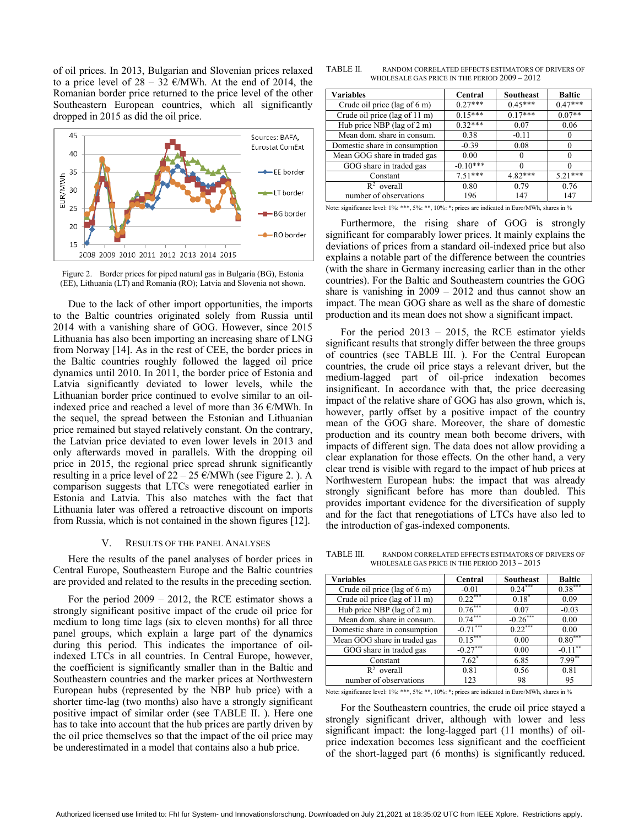of oil prices. In 2013, Bulgarian and Slovenian prices relaxed to a price level of  $28 - 32 \text{ }\epsilon/\text{MWh}$ . At the end of 2014, the Romanian border price returned to the price level of the other Southeastern European countries, which all significantly dropped in 2015 as did the oil price.



Figure 2. Border prices for piped natural gas in Bulgaria (BG), Estonia (EE), Lithuania (LT) and Romania (RO); Latvia and Slovenia not shown.

Due to the lack of other import opportunities, the imports to the Baltic countries originated solely from Russia until 2014 with a vanishing share of GOG. However, since 2015 Lithuania has also been importing an increasing share of LNG from Norway [14]. As in the rest of CEE, the border prices in the Baltic countries roughly followed the lagged oil price dynamics until 2010. In 2011, the border price of Estonia and Latvia significantly deviated to lower levels, while the Lithuanian border price continued to evolve similar to an oilindexed price and reached a level of more than 36  $\epsilon$ /MWh. In the sequel, the spread between the Estonian and Lithuanian price remained but stayed relatively constant. On the contrary, the Latvian price deviated to even lower levels in 2013 and only afterwards moved in parallels. With the dropping oil price in 2015, the regional price spread shrunk significantly resulting in a price level of  $22 - 25 \text{ }\epsilon/\text{MWh}$  (see Figure 2.). A comparison suggests that LTCs were renegotiated earlier in Estonia and Latvia. This also matches with the fact that Lithuania later was offered a retroactive discount on imports from Russia, which is not contained in the shown figures [12].

#### V. RESULTS OF THE PANEL ANALYSES

Here the results of the panel analyses of border prices in Central Europe, Southeastern Europe and the Baltic countries are provided and related to the results in the preceding section.

For the period 2009 – 2012, the RCE estimator shows a strongly significant positive impact of the crude oil price for medium to long time lags (six to eleven months) for all three panel groups, which explain a large part of the dynamics during this period. This indicates the importance of oilindexed LTCs in all countries. In Central Europe, however, the coefficient is significantly smaller than in the Baltic and Southeastern countries and the marker prices at Northwestern European hubs (represented by the NBP hub price) with a shorter time-lag (two months) also have a strongly significant positive impact of similar order (see TABLE II. ). Here one has to take into account that the hub prices are partly driven by the oil price themselves so that the impact of the oil price may be underestimated in a model that contains also a hub price.

| <b>TABLE II.</b> | RANDOM CORRELATED EFFECTS ESTIMATORS OF DRIVERS OF |
|------------------|----------------------------------------------------|
|                  | WHOLESALE GAS PRICE IN THE PERIOD $2009 - 2012$    |

| <b>Variables</b>              | Central    | Southeast | <b>Baltic</b>    |
|-------------------------------|------------|-----------|------------------|
| Crude oil price (lag of 6 m)  | $0.27***$  | $0.45***$ | $0.47***$        |
| Crude oil price (lag of 11 m) | $0.15***$  | $0.17***$ | $0.07**$         |
| Hub price NBP (lag of 2 m)    | $0.32***$  | 0.07      | 0.06             |
| Mean dom, share in consum.    | 0.38       | $-0.11$   | $\left( \right)$ |
| Domestic share in consumption | $-0.39$    | 0.08      | $\Omega$         |
| Mean GOG share in traded gas  | 0.00       |           | $\Omega$         |
| GOG share in traded gas       | $-0.10***$ |           | $\Omega$         |
| Constant                      | $7.51***$  | $4.82***$ | $5.21***$        |
| $R^2$ overall                 | 0.80       | 0.79      | 0.76             |
| number of observations        | 196        | 147       | 147              |

Note: significance level: 1%: \*\*\*, 5%: \*\*, 10%: \*; prices are indicated in Euro/MWh, shares in %

Furthermore, the rising share of GOG is strongly significant for comparably lower prices. It mainly explains the deviations of prices from a standard oil-indexed price but also explains a notable part of the difference between the countries (with the share in Germany increasing earlier than in the other countries). For the Baltic and Southeastern countries the GOG share is vanishing in 2009 – 2012 and thus cannot show an impact. The mean GOG share as well as the share of domestic production and its mean does not show a significant impact.

For the period 2013 – 2015, the RCE estimator yields significant results that strongly differ between the three groups of countries (see TABLE III. ). For the Central European countries, the crude oil price stays a relevant driver, but the medium-lagged part of oil-price indexation becomes insignificant. In accordance with that, the price decreasing impact of the relative share of GOG has also grown, which is, however, partly offset by a positive impact of the country mean of the GOG share. Moreover, the share of domestic production and its country mean both become drivers, with impacts of different sign. The data does not allow providing a clear explanation for those effects. On the other hand, a very clear trend is visible with regard to the impact of hub prices at Northwestern European hubs: the impact that was already strongly significant before has more than doubled. This provides important evidence for the diversification of supply and for the fact that renegotiations of LTCs have also led to the introduction of gas-indexed components.

TABLE III. RANDOM CORRELATED EFFECTS ESTIMATORS OF DRIVERS OF WHOLESALE GAS PRICE IN THE PERIOD 2013 – 2015

| <b>Variables</b>                      | Central    | Southeast  | <b>Baltic</b>         |
|---------------------------------------|------------|------------|-----------------------|
| Crude oil price (lag of 6 m)          | $-0.01$    | $0.24***$  | $0.38***$             |
| Crude oil price (lag of 11 m)         | $0.22***$  | $0.18*$    | 0.09                  |
| Hub price NBP (lag of $2 \text{ m}$ ) | $0.76***$  | 0.07       | $-0.03$               |
| Mean dom, share in consum.            | $0.74***$  | $-0.26***$ | 0.00                  |
| Domestic share in consumption         | $-0.71***$ | $0.22***$  | 0.00                  |
| Mean GOG share in traded gas          | $0.15***$  | 0.00       | $0.80***$             |
| GOG share in traded gas               | $-0.27***$ | 0.00       | $-0.11$ <sup>**</sup> |
| Constant                              | $7.62*$    | 6.85       | $7.99***$             |
| $R^2$ overall                         | 0.81       | 0.56       | 0.81                  |
| number of observations                | 123        | 98         | 95                    |

Note: significance level: 1%: \*\*\*, 5%: \*\*, 10%: \*; prices are indicated in Euro/MWh, shares in %

For the Southeastern countries, the crude oil price stayed a strongly significant driver, although with lower and less significant impact: the long-lagged part (11 months) of oilprice indexation becomes less significant and the coefficient of the short-lagged part (6 months) is significantly reduced.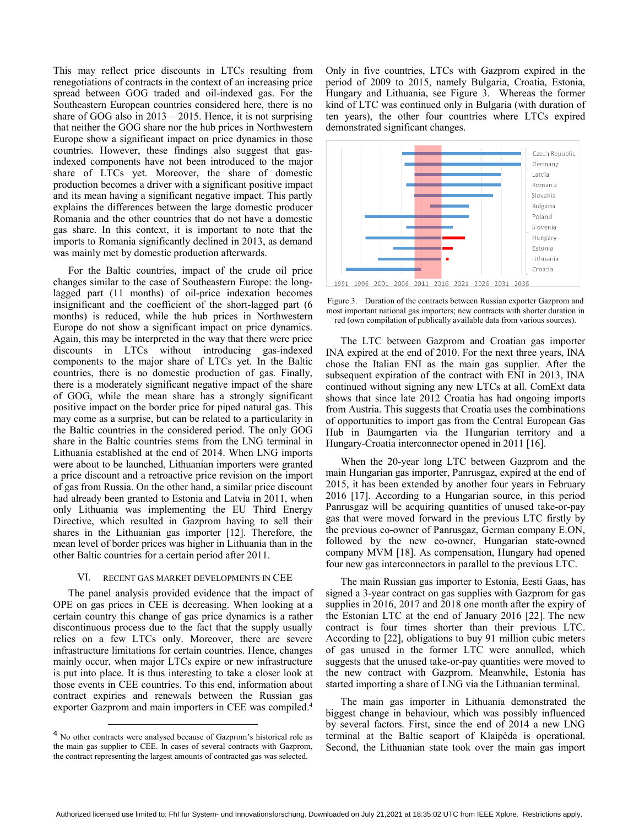This may reflect price discounts in LTCs resulting from renegotiations of contracts in the context of an increasing price spread between GOG traded and oil-indexed gas. For the Southeastern European countries considered here, there is no share of GOG also in  $2013 - 2015$ . Hence, it is not surprising that neither the GOG share nor the hub prices in Northwestern Europe show a significant impact on price dynamics in those countries. However, these findings also suggest that gasindexed components have not been introduced to the major share of LTCs yet. Moreover, the share of domestic production becomes a driver with a significant positive impact and its mean having a significant negative impact. This partly explains the differences between the large domestic producer Romania and the other countries that do not have a domestic gas share. In this context, it is important to note that the imports to Romania significantly declined in 2013, as demand was mainly met by domestic production afterwards.

For the Baltic countries, impact of the crude oil price changes similar to the case of Southeastern Europe: the longlagged part (11 months) of oil-price indexation becomes insignificant and the coefficient of the short-lagged part (6 months) is reduced, while the hub prices in Northwestern Europe do not show a significant impact on price dynamics. Again, this may be interpreted in the way that there were price discounts in LTCs without introducing gas-indexed components to the major share of LTCs yet. In the Baltic countries, there is no domestic production of gas. Finally, there is a moderately significant negative impact of the share of GOG, while the mean share has a strongly significant positive impact on the border price for piped natural gas. This may come as a surprise, but can be related to a particularity in the Baltic countries in the considered period. The only GOG share in the Baltic countries stems from the LNG terminal in Lithuania established at the end of 2014. When LNG imports were about to be launched, Lithuanian importers were granted a price discount and a retroactive price revision on the import of gas from Russia. On the other hand, a similar price discount had already been granted to Estonia and Latvia in 2011, when only Lithuania was implementing the EU Third Energy Directive, which resulted in Gazprom having to sell their shares in the Lithuanian gas importer [12]. Therefore, the mean level of border prices was higher in Lithuania than in the other Baltic countries for a certain period after 2011.

#### VI. RECENT GAS MARKET DEVELOPMENTS IN CEE

The panel analysis provided evidence that the impact of OPE on gas prices in CEE is decreasing. When looking at a certain country this change of gas price dynamics is a rather discontinuous process due to the fact that the supply usually relies on a few LTCs only. Moreover, there are severe infrastructure limitations for certain countries. Hence, changes mainly occur, when major LTCs expire or new infrastructure is put into place. It is thus interesting to take a closer look at those events in CEE countries. To this end, information about contract expiries and renewals between the Russian gas exporter Gazprom and main importers in CEE was compiled.<sup>4</sup>

 $\overline{a}$ 

Only in five countries, LTCs with Gazprom expired in the period of 2009 to 2015, namely Bulgaria, Croatia, Estonia, Hungary and Lithuania, see Figure 3. Whereas the former kind of LTC was continued only in Bulgaria (with duration of ten years), the other four countries where LTCs expired demonstrated significant changes.



Figure 3. Duration of the contracts between Russian exporter Gazprom and most important national gas importers; new contracts with shorter duration in red (own compilation of publically available data from various sources).

The LTC between Gazprom and Croatian gas importer INA expired at the end of 2010. For the next three years, INA chose the Italian ENI as the main gas supplier. After the subsequent expiration of the contract with ENI in 2013, INA continued without signing any new LTCs at all. ComExt data shows that since late 2012 Croatia has had ongoing imports from Austria. This suggests that Croatia uses the combinations of opportunities to import gas from the Central European Gas Hub in Baumgarten via the Hungarian territory and a Hungary-Croatia interconnector opened in 2011 [16].

When the 20-year long LTC between Gazprom and the main Hungarian gas importer, Panrusgaz, expired at the end of 2015, it has been extended by another four years in February 2016 [17]. According to a Hungarian source, in this period Panrusgaz will be acquiring quantities of unused take-or-pay gas that were moved forward in the previous LTC firstly by the previous co-owner of Panrusgaz, German company E.ON, followed by the new co-owner, Hungarian state-owned company MVM [18]. As compensation, Hungary had opened four new gas interconnectors in parallel to the previous LTC.

The main Russian gas importer to Estonia, Eesti Gaas, has signed a 3-year contract on gas supplies with Gazprom for gas supplies in 2016, 2017 and 2018 one month after the expiry of the Estonian LTC at the end of January 2016 [22]. The new contract is four times shorter than their previous LTC. According to [22], obligations to buy 91 million cubic meters of gas unused in the former LTC were annulled, which suggests that the unused take-or-pay quantities were moved to the new contract with Gazprom. Meanwhile, Estonia has started importing a share of LNG via the Lithuanian terminal.

The main gas importer in Lithuania demonstrated the biggest change in behaviour, which was possibly influenced by several factors. First, since the end of 2014 a new LNG terminal at the Baltic seaport of Klaipėda is operational. Second, the Lithuanian state took over the main gas import

<sup>4</sup> No other contracts were analysed because of Gazprom's historical role as the main gas supplier to CEE. In cases of several contracts with Gazprom, the contract representing the largest amounts of contracted gas was selected.